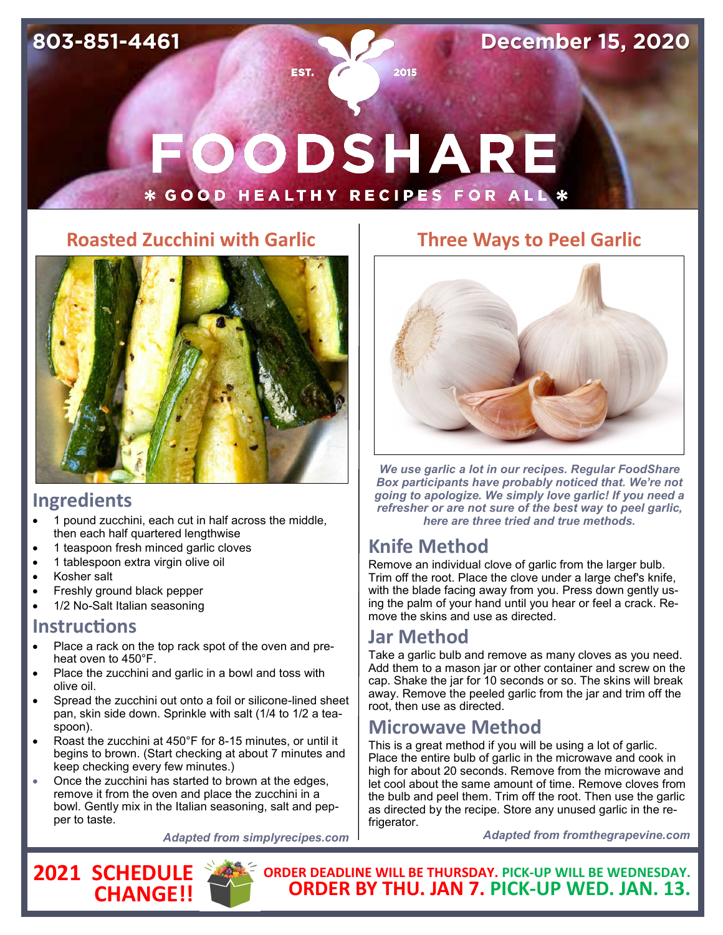**December 15, 2020**

# OODSHARE **GOOD HEALTHY RECIPES FOR ALL**

2015

EST.

#### **Roasted Zucchini with Garlic**



#### **Ingredients**

- 1 pound zucchini, each cut in half across the middle, then each half quartered lengthwise
- 1 teaspoon fresh minced garlic cloves
- 1 tablespoon extra virgin olive oil
- Kosher salt
- Freshly ground black pepper
- 1/2 No-Salt Italian seasoning

#### **Instructions**

- Place a rack on the top rack spot of the oven and preheat oven to 450°F.
- Place the zucchini and garlic in a bowl and toss with olive oil.
- Spread the zucchini out onto a foil or silicone-lined sheet pan, skin side down. Sprinkle with salt (1/4 to 1/2 a teaspoon).
- Roast the zucchini at 450°F for 8-15 minutes, or until it begins to brown. (Start checking at about 7 minutes and keep checking every few minutes.)
- Once the zucchini has started to brown at the edges, remove it from the oven and place the zucchini in a bowl. Gently mix in the Italian seasoning, salt and pepper to taste.

*Adapted from simplyrecipes.com*





## **Three Ways to Peel Garlic**



*We use garlic a lot in our recipes. Regular FoodShare Box participants have probably noticed that. We're not going to apologize. We simply love garlic! If you need a refresher or are not sure of the best way to peel garlic, here are three tried and true methods.*

## **Knife Method**

Remove an individual clove of garlic from the larger bulb. Trim off the root. Place the clove under a large chef's knife, with the blade facing away from you. Press down gently using the palm of your hand until you hear or feel a crack. Remove the skins and use as directed.

## **Jar Method**

Take a garlic bulb and remove as many cloves as you need. Add them to a mason jar or other container and screw on the cap. Shake the jar for 10 seconds or so. The skins will break away. Remove the peeled garlic from the jar and trim off the root, then use as directed.

## **Microwave Method**

This is a great method if you will be using a lot of garlic. Place the entire bulb of garlic in the microwave and cook in high for about 20 seconds. Remove from the microwave and let cool about the same amount of time. Remove cloves from the bulb and peel them. Trim off the root. Then use the garlic as directed by the recipe. Store any unused garlic in the refrigerator.

*Adapted from fromthegrapevine.com*

**ORDER DEADLINE WILL BE THURSDAY. PICK-UP WILL BE WEDNESDAY. ORDER BY THU. JAN 7. PICK-UP WED. JAN. 13.**